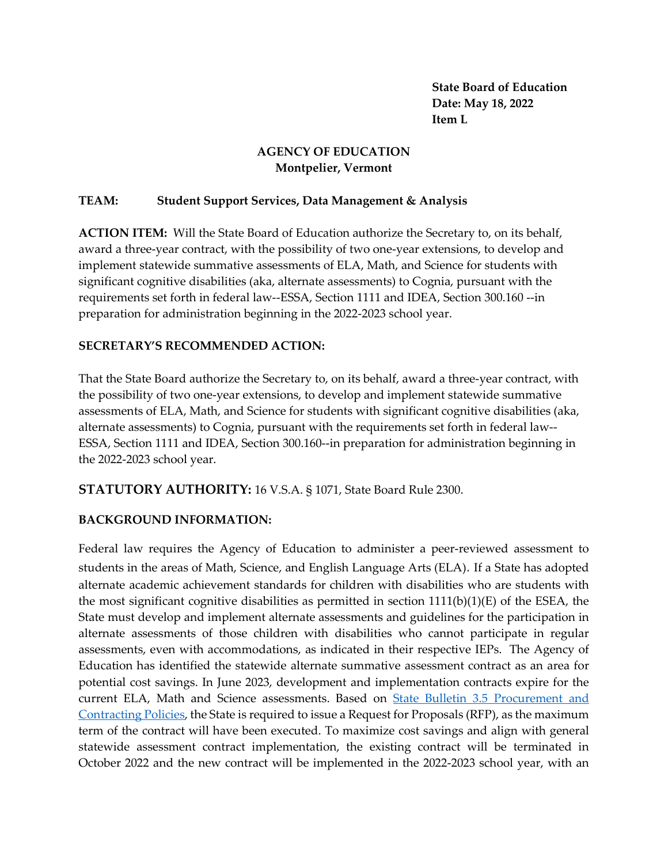**State Board of Education Date: May 18, 2022 Item L**

## **AGENCY OF EDUCATION Montpelier, Vermont**

## **TEAM: Student Support Services, Data Management & Analysis**

**ACTION ITEM:** Will the State Board of Education authorize the Secretary to, on its behalf, award a three-year contract, with the possibility of two one-year extensions, to develop and implement statewide summative assessments of ELA, Math, and Science for students with significant cognitive disabilities (aka, alternate assessments) to Cognia, pursuant with the requirements set forth in federal law--ESSA, Section 1111 and IDEA, Section 300.160 --in preparation for administration beginning in the 2022-2023 school year.

## **SECRETARY'S RECOMMENDED ACTION:**

That the State Board authorize the Secretary to, on its behalf, award a three-year contract, with the possibility of two one-year extensions, to develop and implement statewide summative assessments of ELA, Math, and Science for students with significant cognitive disabilities (aka, alternate assessments) to Cognia, pursuant with the requirements set forth in federal law-- ESSA, Section 1111 and IDEA, Section 300.160--in preparation for administration beginning in the 2022-2023 school year.

**STATUTORY AUTHORITY:** 16 V.S.A. § 1071, State Board Rule 2300.

## **BACKGROUND INFORMATION:**

Federal law requires the Agency of Education to administer a peer-reviewed assessment to students in the areas of Math, Science, and English Language Arts (ELA). If a State has adopted alternate academic achievement standards for children with disabilities who are students with the most significant cognitive disabilities as permitted in section  $1111(b)(1)(E)$  of the ESEA, the State must develop and implement alternate assessments and guidelines for the participation in alternate assessments of those children with disabilities who cannot participate in regular assessments, even with accommodations, as indicated in their respective IEPs. The Agency of Education has identified the statewide alternate summative assessment contract as an area for potential cost savings. In June 2023, development and implementation contracts expire for the current ELA, Math and Science assessments. Based on [State Bulletin 3.5 Procurement and](https://aoa.vermont.gov/sites/aoa/files/Bulletins/3point5/3.5Rewrite121619FINAL.pdf)  [Contracting Policies,](https://aoa.vermont.gov/sites/aoa/files/Bulletins/3point5/3.5Rewrite121619FINAL.pdf) the State is required to issue a Request for Proposals (RFP), as the maximum term of the contract will have been executed. To maximize cost savings and align with general statewide assessment contract implementation, the existing contract will be terminated in October 2022 and the new contract will be implemented in the 2022-2023 school year, with an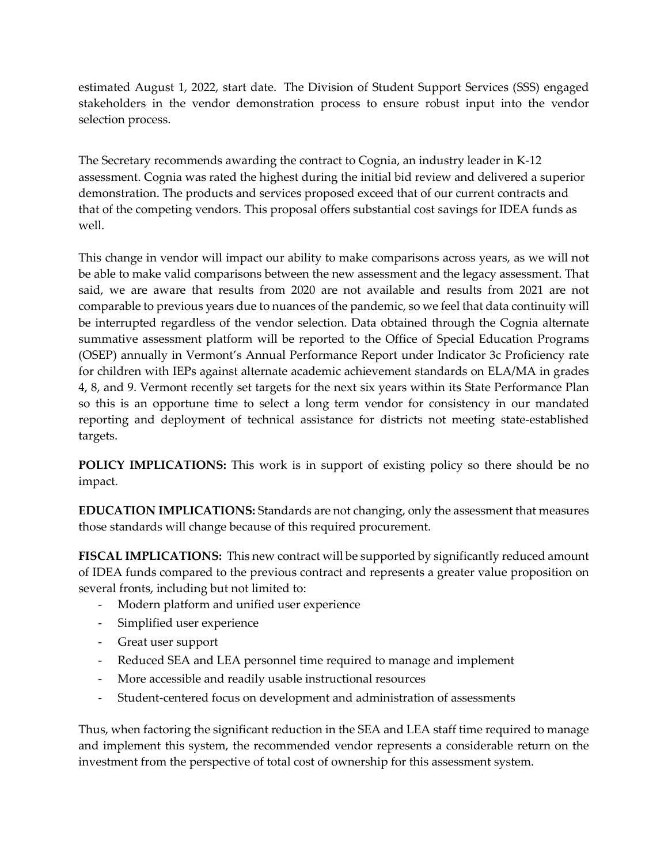estimated August 1, 2022, start date. The Division of Student Support Services (SSS) engaged stakeholders in the vendor demonstration process to ensure robust input into the vendor selection process.

The Secretary recommends awarding the contract to Cognia, an industry leader in K-12 assessment. Cognia was rated the highest during the initial bid review and delivered a superior demonstration. The products and services proposed exceed that of our current contracts and that of the competing vendors. This proposal offers substantial cost savings for IDEA funds as well.

This change in vendor will impact our ability to make comparisons across years, as we will not be able to make valid comparisons between the new assessment and the legacy assessment. That said, we are aware that results from 2020 are not available and results from 2021 are not comparable to previous years due to nuances of the pandemic, so we feel that data continuity will be interrupted regardless of the vendor selection. Data obtained through the Cognia alternate summative assessment platform will be reported to the Office of Special Education Programs (OSEP) annually in Vermont's Annual Performance Report under Indicator 3c Proficiency rate for children with IEPs against alternate academic achievement standards on ELA/MA in grades 4, 8, and 9. Vermont recently set targets for the next six years within its State Performance Plan so this is an opportune time to select a long term vendor for consistency in our mandated reporting and deployment of technical assistance for districts not meeting state-established targets.

**POLICY IMPLICATIONS:** This work is in support of existing policy so there should be no impact.

**EDUCATION IMPLICATIONS:** Standards are not changing, only the assessment that measures those standards will change because of this required procurement.

**FISCAL IMPLICATIONS:** This new contract will be supported by significantly reduced amount of IDEA funds compared to the previous contract and represents a greater value proposition on several fronts, including but not limited to:

- Modern platform and unified user experience
- Simplified user experience
- Great user support
- Reduced SEA and LEA personnel time required to manage and implement
- More accessible and readily usable instructional resources
- Student-centered focus on development and administration of assessments

Thus, when factoring the significant reduction in the SEA and LEA staff time required to manage and implement this system, the recommended vendor represents a considerable return on the investment from the perspective of total cost of ownership for this assessment system.